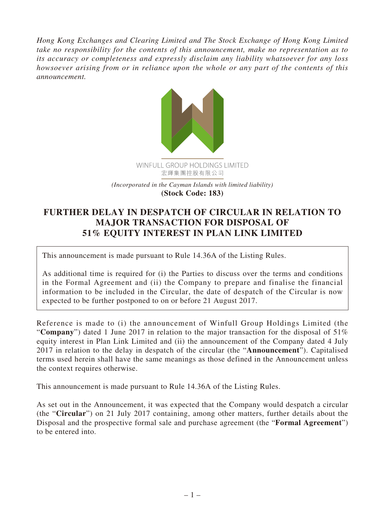*Hong Kong Exchanges and Clearing Limited and The Stock Exchange of Hong Kong Limited take no responsibility for the contents of this announcement, make no representation as to its accuracy or completeness and expressly disclaim any liability whatsoever for any loss howsoever arising from or in reliance upon the whole or any part of the contents of this announcement.*



## **FURTHER DELAY IN DESPATCH OF CIRCULAR IN RELATION TO MAJOR TRANSACTION FOR DISPOSAL OF 51% EQUITY INTEREST IN PLAN LINK LIMITED**

This announcement is made pursuant to Rule 14.36A of the Listing Rules.

As additional time is required for (i) the Parties to discuss over the terms and conditions in the Formal Agreement and (ii) the Company to prepare and finalise the financial information to be included in the Circular, the date of despatch of the Circular is now expected to be further postponed to on or before 21 August 2017.

Reference is made to (i) the announcement of Winfull Group Holdings Limited (the "**Company**") dated 1 June 2017 in relation to the major transaction for the disposal of 51% equity interest in Plan Link Limited and (ii) the announcement of the Company dated 4 July 2017 in relation to the delay in despatch of the circular (the "**Announcement**"). Capitalised terms used herein shall have the same meanings as those defined in the Announcement unless the context requires otherwise.

This announcement is made pursuant to Rule 14.36A of the Listing Rules.

As set out in the Announcement, it was expected that the Company would despatch a circular (the "**Circular**") on 21 July 2017 containing, among other matters, further details about the Disposal and the prospective formal sale and purchase agreement (the "**Formal Agreement**") to be entered into.